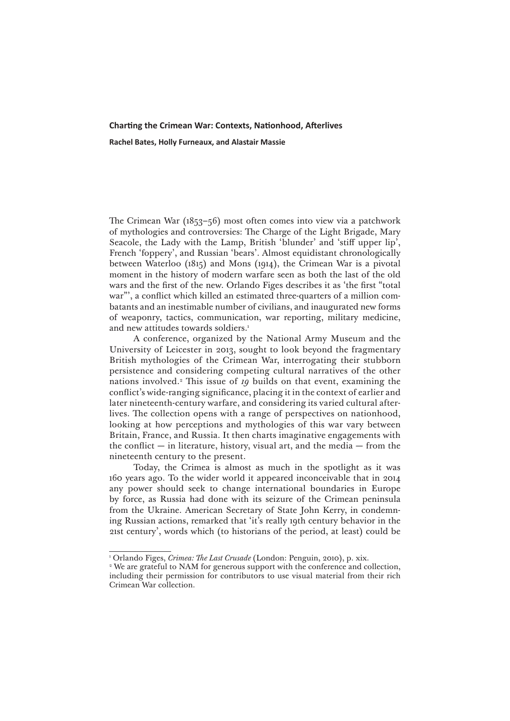## **Charting the Crimean War: Contexts, Nationhood, Afterlives**

**Rachel Bates, Holly Furneaux, and Alastair Massie**

The Crimean War (1853–56) most often comes into view via a patchwork of mythologies and controversies: The Charge of the Light Brigade, Mary Seacole, the Lady with the Lamp, British 'blunder' and 'stiff upper lip', French 'foppery', and Russian 'bears'. Almost equidistant chronologically between Waterloo (1815) and Mons (1914), the Crimean War is a pivotal moment in the history of modern warfare seen as both the last of the old wars and the first of the new. Orlando Figes describes it as 'the first "total war"', a conflict which killed an estimated three-quarters of a million combatants and an inestimable number of civilians, and inaugurated new forms of weaponry, tactics, communication, war reporting, military medicine, and new attitudes towards soldiers.<sup>1</sup>

A conference, organized by the National Army Museum and the University of Leicester in 2013, sought to look beyond the fragmentary British mythologies of the Crimean War, interrogating their stubborn persistence and considering competing cultural narratives of the other nations involved.<sup>2</sup> This issue of *19* builds on that event, examining the conflict's wide-ranging significance, placing it in the context of earlier and later nineteenth-century warfare, and considering its varied cultural afterlives. The collection opens with a range of perspectives on nationhood, looking at how perceptions and mythologies of this war vary between Britain, France, and Russia. It then charts imaginative engagements with the conflict  $-$  in literature, history, visual art, and the media  $-$  from the nineteenth century to the present.

Today, the Crimea is almost as much in the spotlight as it was 160 years ago. To the wider world it appeared inconceivable that in 2014 any power should seek to change international boundaries in Europe by force, as Russia had done with its seizure of the Crimean peninsula from the Ukraine. American Secretary of State John Kerry, in condemning Russian actions, remarked that 'it's really 19th century behavior in the 21st century', words which (to historians of the period, at least) could be

<sup>1</sup> Orlando Figes, *Crimea: The Last Crusade* (London: Penguin, 2010), p. xix.

<sup>2</sup> We are grateful to NAM for generous support with the conference and collection, including their permission for contributors to use visual material from their rich Crimean War collection.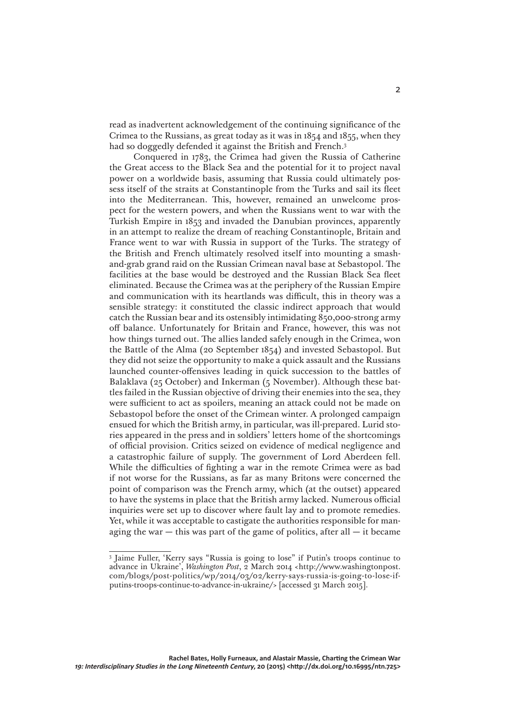read as inadvertent acknowledgement of the continuing significance of the Crimea to the Russians, as great today as it was in 1854 and 1855, when they had so doggedly defended it against the British and French.<sup>3</sup>

Conquered in 1783, the Crimea had given the Russia of Catherine the Great access to the Black Sea and the potential for it to project naval power on a worldwide basis, assuming that Russia could ultimately possess itself of the straits at Constantinople from the Turks and sail its fleet into the Mediterranean. This, however, remained an unwelcome prospect for the western powers, and when the Russians went to war with the Turkish Empire in 1853 and invaded the Danubian provinces, apparently in an attempt to realize the dream of reaching Constantinople, Britain and France went to war with Russia in support of the Turks. The strategy of the British and French ultimately resolved itself into mounting a smashand-grab grand raid on the Russian Crimean naval base at Sebastopol. The facilities at the base would be destroyed and the Russian Black Sea fleet eliminated. Because the Crimea was at the periphery of the Russian Empire and communication with its heartlands was difficult, this in theory was a sensible strategy: it constituted the classic indirect approach that would catch the Russian bear and its ostensibly intimidating 850,000-strong army off balance. Unfortunately for Britain and France, however, this was not how things turned out. The allies landed safely enough in the Crimea, won the Battle of the Alma (20 September 1854) and invested Sebastopol. But they did not seize the opportunity to make a quick assault and the Russians launched counter-offensives leading in quick succession to the battles of Balaklava (25 October) and Inkerman (5 November). Although these battles failed in the Russian objective of driving their enemies into the sea, they were sufficient to act as spoilers, meaning an attack could not be made on Sebastopol before the onset of the Crimean winter. A prolonged campaign ensued for which the British army, in particular, was ill-prepared. Lurid stories appeared in the press and in soldiers' letters home of the shortcomings of official provision. Critics seized on evidence of medical negligence and a catastrophic failure of supply. The government of Lord Aberdeen fell. While the difficulties of fighting a war in the remote Crimea were as bad if not worse for the Russians, as far as many Britons were concerned the point of comparison was the French army, which (at the outset) appeared to have the systems in place that the British army lacked. Numerous official inquiries were set up to discover where fault lay and to promote remedies. Yet, while it was acceptable to castigate the authorities responsible for managing the war  $-$  this was part of the game of politics, after all  $-$  it became

<sup>3</sup> Jaime Fuller, 'Kerry says "Russia is going to lose" if Putin's troops continue to advance in Ukraine', *Washington Post*, 2 March 2014 <[http://www.washingtonpost.](http://www.washingtonpost.com/blogs/post-politics/wp/2014/03/02/kerry-says-russia-is-going-to-lose-if-putins-troops-continue-to-advance-in-ukraine/) [com/blogs/post-politics/wp/2014/03/02/kerry-says-russia-is-going-to-lose-if](http://www.washingtonpost.com/blogs/post-politics/wp/2014/03/02/kerry-says-russia-is-going-to-lose-if-putins-troops-continue-to-advance-in-ukraine/)[putins-troops-continue-to-advance-in-ukraine/>](http://www.washingtonpost.com/blogs/post-politics/wp/2014/03/02/kerry-says-russia-is-going-to-lose-if-putins-troops-continue-to-advance-in-ukraine/) [accessed 31 March 2015].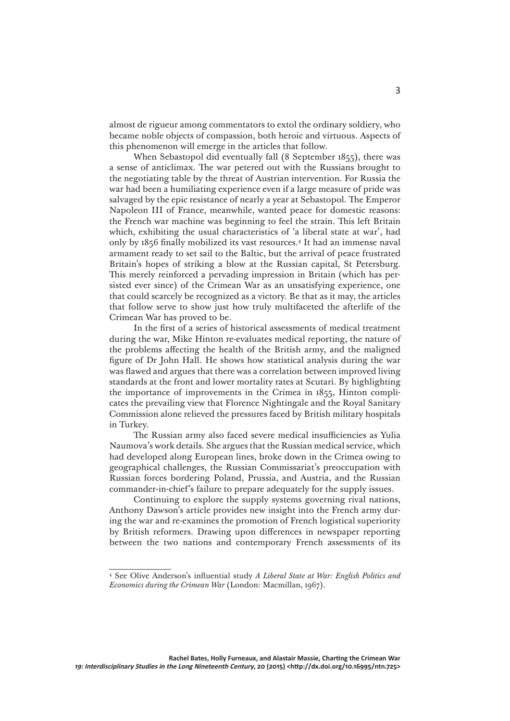almost de rigueur among commentators to extol the ordinary soldiery, who became noble objects of compassion, both heroic and virtuous. Aspects of this phenomenon will emerge in the articles that follow.

When Sebastopol did eventually fall (8 September 1855), there was a sense of anticlimax. The war petered out with the Russians brought to the negotiating table by the threat of Austrian intervention. For Russia the war had been a humiliating experience even if a large measure of pride was salvaged by the epic resistance of nearly a year at Sebastopol. The Emperor Napoleon III of France, meanwhile, wanted peace for domestic reasons: the French war machine was beginning to feel the strain. This left Britain which, exhibiting the usual characteristics of 'a liberal state at war', had only by 1856 finally mobilized its vast resources.4 It had an immense naval armament ready to set sail to the Baltic, but the arrival of peace frustrated Britain's hopes of striking a blow at the Russian capital, St Petersburg. This merely reinforced a pervading impression in Britain (which has persisted ever since) of the Crimean War as an unsatisfying experience, one that could scarcely be recognized as a victory. Be that as it may, the articles that follow serve to show just how truly multifaceted the afterlife of the Crimean War has proved to be.

In the first of a series of historical assessments of medical treatment during the war, Mike Hinton re-evaluates medical reporting, the nature of the problems affecting the health of the British army, and the maligned figure of Dr John Hall. He shows how statistical analysis during the war was flawed and argues that there was a correlation between improved living standards at the front and lower mortality rates at Scutari. By highlighting the importance of improvements in the Crimea in 1855, Hinton complicates the prevailing view that Florence Nightingale and the Royal Sanitary Commission alone relieved the pressures faced by British military hospitals in Turkey.

The Russian army also faced severe medical insufficiencies as Yulia Naumova's work details. She argues that the Russian medical service, which had developed along European lines, broke down in the Crimea owing to geographical challenges, the Russian Commissariat's preoccupation with Russian forces bordering Poland, Prussia, and Austria, and the Russian commander-in-chief's failure to prepare adequately for the supply issues.

Continuing to explore the supply systems governing rival nations, Anthony Dawson's article provides new insight into the French army during the war and re-examines the promotion of French logistical superiority by British reformers. Drawing upon differences in newspaper reporting between the two nations and contemporary French assessments of its

<sup>4</sup> See Olive Anderson's influential study *A Liberal State at War: English Politics and Economics during the Crimean War* (London: Macmillan, 1967).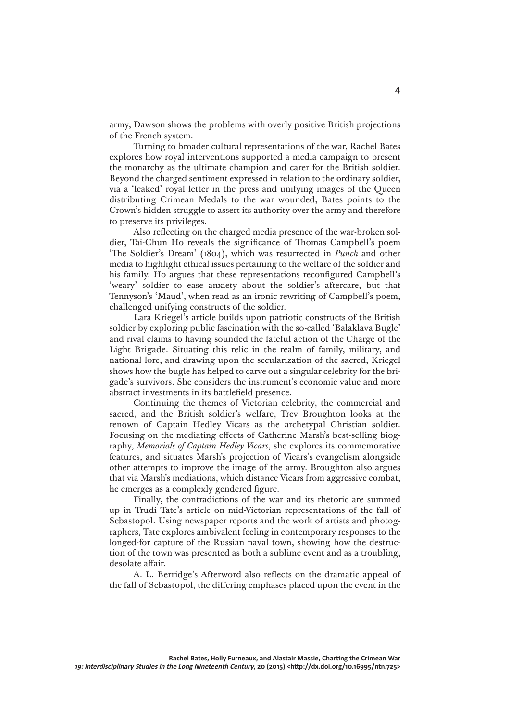army, Dawson shows the problems with overly positive British projections of the French system.

Turning to broader cultural representations of the war, Rachel Bates explores how royal interventions supported a media campaign to present the monarchy as the ultimate champion and carer for the British soldier. Beyond the charged sentiment expressed in relation to the ordinary soldier, via a 'leaked' royal letter in the press and unifying images of the Queen distributing Crimean Medals to the war wounded, Bates points to the Crown's hidden struggle to assert its authority over the army and therefore to preserve its privileges.

Also reflecting on the charged media presence of the war-broken soldier, Tai-Chun Ho reveals the significance of Thomas Campbell's poem 'The Soldier's Dream' (1804), which was resurrected in *Punch* and other media to highlight ethical issues pertaining to the welfare of the soldier and his family. Ho argues that these representations reconfigured Campbell's 'weary' soldier to ease anxiety about the soldier's aftercare, but that Tennyson's 'Maud', when read as an ironic rewriting of Campbell's poem, challenged unifying constructs of the soldier.

Lara Kriegel's article builds upon patriotic constructs of the British soldier by exploring public fascination with the so-called 'Balaklava Bugle' and rival claims to having sounded the fateful action of the Charge of the Light Brigade. Situating this relic in the realm of family, military, and national lore, and drawing upon the secularization of the sacred, Kriegel shows how the bugle has helped to carve out a singular celebrity for the brigade's survivors. She considers the instrument's economic value and more abstract investments in its battlefield presence.

Continuing the themes of Victorian celebrity, the commercial and sacred, and the British soldier's welfare, Trev Broughton looks at the renown of Captain Hedley Vicars as the archetypal Christian soldier. Focusing on the mediating effects of Catherine Marsh's best-selling biography, *Memorials of Captain Hedley Vicars*, she explores its commemorative features, and situates Marsh's projection of Vicars's evangelism alongside other attempts to improve the image of the army. Broughton also argues that via Marsh's mediations, which distance Vicars from aggressive combat, he emerges as a complexly gendered figure.

Finally, the contradictions of the war and its rhetoric are summed up in Trudi Tate's article on mid-Victorian representations of the fall of Sebastopol. Using newspaper reports and the work of artists and photographers, Tate explores ambivalent feeling in contemporary responses to the longed-for capture of the Russian naval town, showing how the destruction of the town was presented as both a sublime event and as a troubling, desolate affair.

A. L. Berridge's Afterword also reflects on the dramatic appeal of the fall of Sebastopol, the differing emphases placed upon the event in the